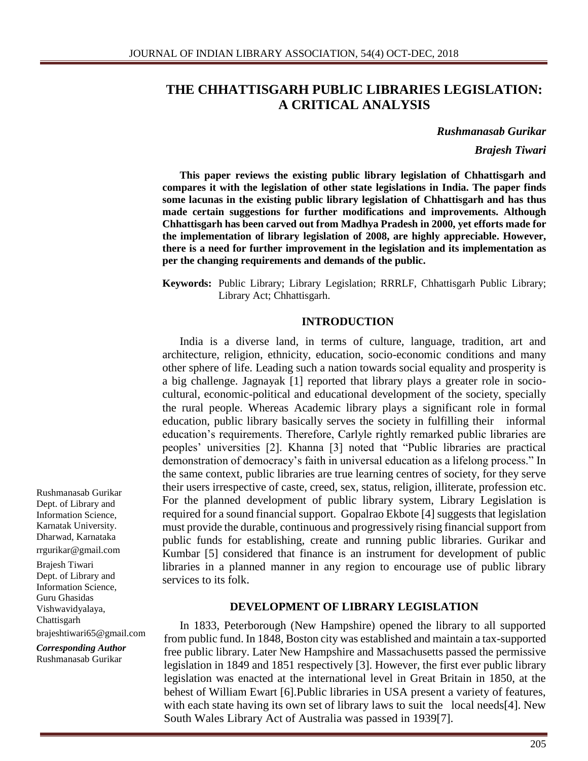### **THE CHHATTISGARH PUBLIC LIBRARIES LEGISLATION: A CRITICAL ANALYSIS**

*Rushmanasab Gurikar*

*Brajesh Tiwari*

**This paper reviews the existing public library legislation of Chhattisgarh and compares it with the legislation of other state legislations in India. The paper finds some lacunas in the existing public library legislation of Chhattisgarh and has thus made certain suggestions for further modifications and improvements. Although Chhattisgarh has been carved out from Madhya Pradesh in 2000, yet efforts made for the implementation of library legislation of 2008, are highly appreciable. However, there is a need for further improvement in the legislation and its implementation as per the changing requirements and demands of the public.**

**Keywords:** Public Library; Library Legislation; RRRLF, Chhattisgarh Public Library; Library Act; Chhattisgarh.

#### **INTRODUCTION**

India is a diverse land, in terms of culture, language, tradition, art and architecture, religion, ethnicity, education, socio-economic conditions and many other sphere of life. Leading such a nation towards social equality and prosperity is a big challenge. Jagnayak [1] reported that library plays a greater role in sociocultural, economic-political and educational development of the society, specially the rural people. Whereas Academic library plays a significant role in formal education, public library basically serves the society in fulfilling their informal education's requirements. Therefore, Carlyle rightly remarked public libraries are peoples' universities [2]. Khanna [3] noted that "Public libraries are practical demonstration of democracy's faith in universal education as a lifelong process." In the same context, public libraries are true learning centres of society, for they serve their users irrespective of caste, creed, sex, status, religion, illiterate, profession etc. For the planned development of public library system, Library Legislation is required for a sound financial support. Gopalrao Ekbote [4] suggests that legislation must provide the durable, continuous and progressively rising financial support from public funds for establishing, create and running public libraries. Gurikar and Kumbar [5] considered that finance is an instrument for development of public libraries in a planned manner in any region to encourage use of public library services to its folk.

#### **DEVELOPMENT OF LIBRARY LEGISLATION**

In 1833, Peterborough (New Hampshire) opened the library to all supported from public fund. In 1848, Boston city was established and maintain a tax-supported free public library. Later New Hampshire and Massachusetts passed the permissive legislation in 1849 and 1851 respectively [3]. However, the first ever public library legislation was enacted at the international level in Great Britain in 1850, at the behest of William Ewart [6].Public libraries in USA present a variety of features, with each state having its own set of library laws to suit the local needs[4]. New South Wales Library Act of Australia was passed in 1939[7].

Rushmanasab Gurikar Dept. of Library and Information Science, Karnatak University. Dharwad, Karnataka rrgurikar@gmail.com Brajesh Tiwari Dept. of Library and Information Science, Guru Ghasidas

Chattisgarh

brajeshtiwari65@gmail.com

*Corresponding Author* Rushmanasab Gurikar

Vishwavidyalaya,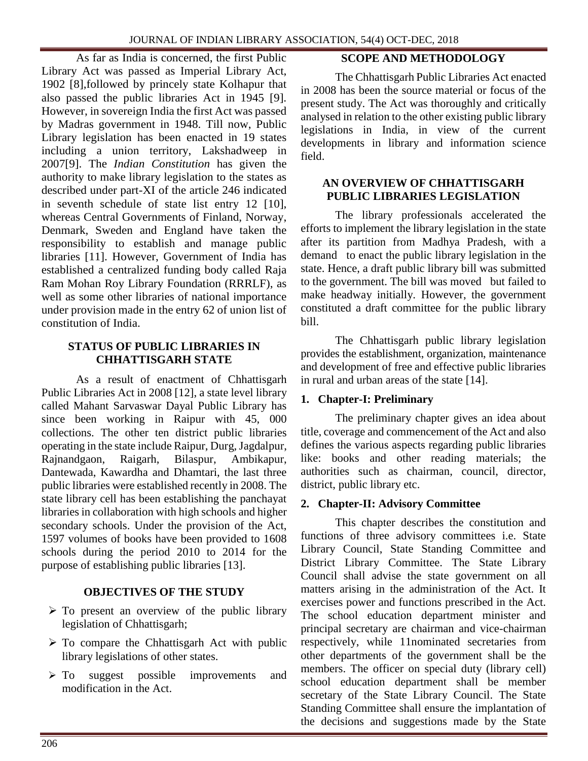As far as India is concerned, the first Public Library Act was passed as Imperial Library Act, 1902 [8],followed by princely state Kolhapur that also passed the public libraries Act in 1945 [9]. However, in sovereign India the first Act was passed by Madras government in 1948. Till now, Public Library legislation has been enacted in 19 states including a union territory, Lakshadweep in 2007[9]. The *Indian Constitution* has given the authority to make library legislation to the states as described under part-XI of the article 246 indicated in seventh schedule of state list entry 12 [10], whereas Central Governments of Finland, Norway, Denmark, Sweden and England have taken the responsibility to establish and manage public libraries [11]. However, Government of India has established a centralized funding body called Raja Ram Mohan Roy Library Foundation (RRRLF), as well as some other libraries of national importance under provision made in the entry 62 of union list of constitution of India.

#### **STATUS OF PUBLIC LIBRARIES IN CHHATTISGARH STATE**

As a result of enactment of Chhattisgarh Public Libraries Act in 2008 [12], a state level library called Mahant Sarvaswar Dayal Public Library has since been working in Raipur with 45, 000 collections. The other ten district public libraries operating in the state include Raipur, Durg, Jagdalpur, Rajnandgaon, Raigarh, Bilaspur, Ambikapur, Dantewada, Kawardha and Dhamtari, the last three public libraries were established recently in 2008. The state library cell has been establishing the panchayat libraries in collaboration with high schools and higher secondary schools. Under the provision of the Act, 1597 volumes of books have been provided to 1608 schools during the period 2010 to 2014 for the purpose of establishing public libraries [13].

### **OBJECTIVES OF THE STUDY**

- $\triangleright$  To present an overview of the public library legislation of Chhattisgarh;
- $\triangleright$  To compare the Chhattisgarh Act with public library legislations of other states.
- $\triangleright$  To suggest possible improvements and modification in the Act.

### **SCOPE AND METHODOLOGY**

The Chhattisgarh Public Libraries Act enacted in 2008 has been the source material or focus of the present study. The Act was thoroughly and critically analysed in relation to the other existing public library legislations in India, in view of the current developments in library and information science field.

#### **AN OVERVIEW OF CHHATTISGARH PUBLIC LIBRARIES LEGISLATION**

The library professionals accelerated the efforts to implement the library legislation in the state after its partition from Madhya Pradesh, with a demand to enact the public library legislation in the state. Hence, a draft public library bill was submitted to the government. The bill was moved but failed to make headway initially. However, the government constituted a draft committee for the public library bill.

The Chhattisgarh public library legislation provides the establishment, organization, maintenance and development of free and effective public libraries in rural and urban areas of the state [14].

### **1. Chapter-I: Preliminary**

The preliminary chapter gives an idea about title, coverage and commencement of the Act and also defines the various aspects regarding public libraries like: books and other reading materials; the authorities such as chairman, council, director, district, public library etc.

#### **2. Chapter-II: Advisory Committee**

This chapter describes the constitution and functions of three advisory committees i.e. State Library Council, State Standing Committee and District Library Committee. The State Library Council shall advise the state government on all matters arising in the administration of the Act. It exercises power and functions prescribed in the Act. The school education department minister and principal secretary are chairman and vice-chairman respectively, while 11nominated secretaries from other departments of the government shall be the members. The officer on special duty (library cell) school education department shall be member secretary of the State Library Council. The State Standing Committee shall ensure the implantation of the decisions and suggestions made by the State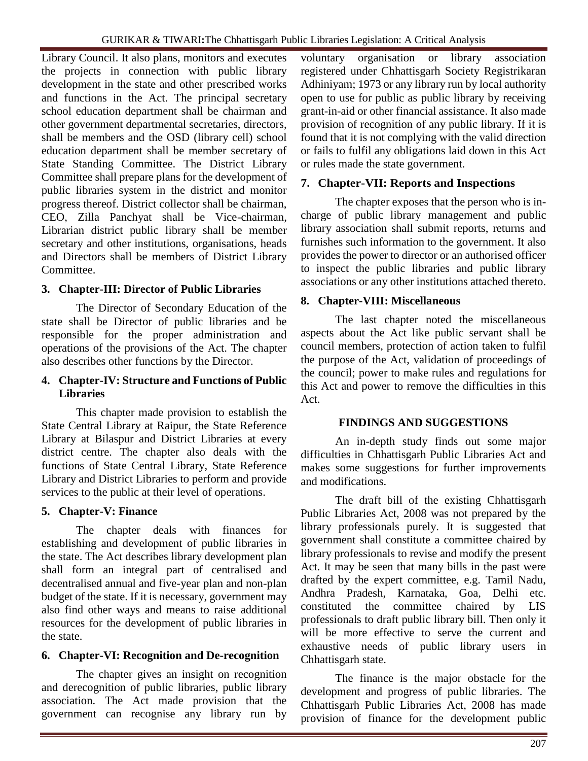Library Council. It also plans, monitors and executes the projects in connection with public library development in the state and other prescribed works and functions in the Act. The principal secretary school education department shall be chairman and other government departmental secretaries, directors, shall be members and the OSD (library cell) school education department shall be member secretary of State Standing Committee. The District Library Committee shall prepare plans for the development of public libraries system in the district and monitor progress thereof. District collector shall be chairman, CEO, Zilla Panchyat shall be Vice-chairman, Librarian district public library shall be member secretary and other institutions, organisations, heads and Directors shall be members of District Library Committee.

## **3. Chapter-III: Director of Public Libraries**

The Director of Secondary Education of the state shall be Director of public libraries and be responsible for the proper administration and operations of the provisions of the Act. The chapter also describes other functions by the Director.

### **4. Chapter-IV: Structure and Functions of Public Libraries**

This chapter made provision to establish the State Central Library at Raipur, the State Reference Library at Bilaspur and District Libraries at every district centre. The chapter also deals with the functions of State Central Library, State Reference Library and District Libraries to perform and provide services to the public at their level of operations.

# **5. Chapter-V: Finance**

The chapter deals with finances for establishing and development of public libraries in the state. The Act describes library development plan shall form an integral part of centralised and decentralised annual and five-year plan and non-plan budget of the state. If it is necessary, government may also find other ways and means to raise additional resources for the development of public libraries in the state.

# **6. Chapter-VI: Recognition and De-recognition**

The chapter gives an insight on recognition and derecognition of public libraries, public library association. The Act made provision that the government can recognise any library run by

voluntary organisation or library association registered under Chhattisgarh Society Registrikaran Adhiniyam; 1973 or any library run by local authority open to use for public as public library by receiving grant-in-aid or other financial assistance. It also made provision of recognition of any public library. If it is found that it is not complying with the valid direction or fails to fulfil any obligations laid down in this Act or rules made the state government.

# **7. Chapter-VII: Reports and Inspections**

The chapter exposes that the person who is incharge of public library management and public library association shall submit reports, returns and furnishes such information to the government. It also provides the power to director or an authorised officer to inspect the public libraries and public library associations or any other institutions attached thereto.

## **8. Chapter-VIII: Miscellaneous**

The last chapter noted the miscellaneous aspects about the Act like public servant shall be council members, protection of action taken to fulfil the purpose of the Act, validation of proceedings of the council; power to make rules and regulations for this Act and power to remove the difficulties in this Act.

### **FINDINGS AND SUGGESTIONS**

An in-depth study finds out some major difficulties in Chhattisgarh Public Libraries Act and makes some suggestions for further improvements and modifications.

The draft bill of the existing Chhattisgarh Public Libraries Act, 2008 was not prepared by the library professionals purely. It is suggested that government shall constitute a committee chaired by library professionals to revise and modify the present Act. It may be seen that many bills in the past were drafted by the expert committee, e.g. Tamil Nadu, Andhra Pradesh, Karnataka, Goa, Delhi etc. constituted the committee chaired by LIS professionals to draft public library bill. Then only it will be more effective to serve the current and exhaustive needs of public library users in Chhattisgarh state.

The finance is the major obstacle for the development and progress of public libraries. The Chhattisgarh Public Libraries Act, 2008 has made provision of finance for the development public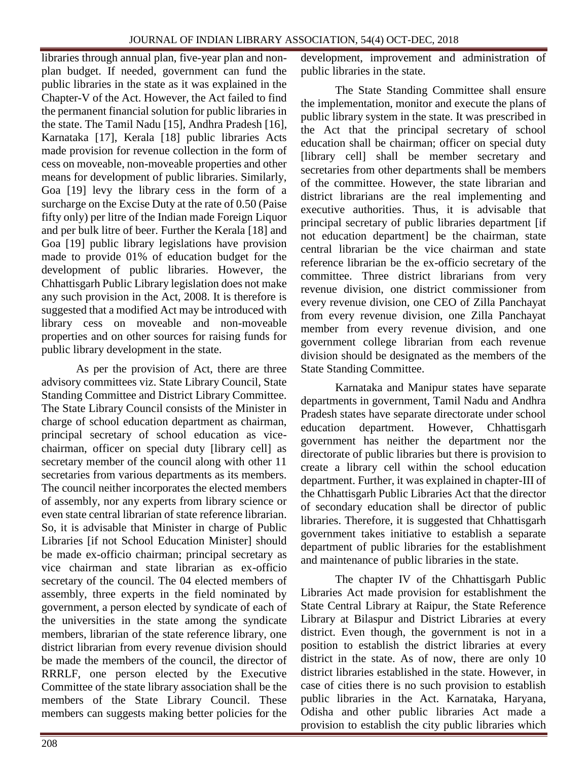libraries through annual plan, five-year plan and nonplan budget. If needed, government can fund the public libraries in the state as it was explained in the Chapter-V of the Act. However, the Act failed to find the permanent financial solution for public libraries in the state. The Tamil Nadu [15], Andhra Pradesh [16], Karnataka [17], Kerala [18] public libraries Acts made provision for revenue collection in the form of cess on moveable, non-moveable properties and other means for development of public libraries. Similarly, Goa [19] levy the library cess in the form of a surcharge on the Excise Duty at the rate of 0.50 (Paise fifty only) per litre of the Indian made Foreign Liquor and per bulk litre of beer. Further the Kerala [18] and Goa [19] public library legislations have provision made to provide 01% of education budget for the development of public libraries. However, the Chhattisgarh Public Library legislation does not make any such provision in the Act, 2008. It is therefore is suggested that a modified Act may be introduced with library cess on moveable and non-moveable properties and on other sources for raising funds for public library development in the state.

As per the provision of Act, there are three advisory committees viz. State Library Council, State Standing Committee and District Library Committee. The State Library Council consists of the Minister in charge of school education department as chairman, principal secretary of school education as vicechairman, officer on special duty [library cell] as secretary member of the council along with other 11 secretaries from various departments as its members. The council neither incorporates the elected members of assembly, nor any experts from library science or even state central librarian of state reference librarian. So, it is advisable that Minister in charge of Public Libraries [if not School Education Minister] should be made ex-officio chairman; principal secretary as vice chairman and state librarian as ex-officio secretary of the council. The 04 elected members of assembly, three experts in the field nominated by government, a person elected by syndicate of each of the universities in the state among the syndicate members, librarian of the state reference library, one district librarian from every revenue division should be made the members of the council, the director of RRRLF, one person elected by the Executive Committee of the state library association shall be the members of the State Library Council. These members can suggests making better policies for the

development, improvement and administration of public libraries in the state.

The State Standing Committee shall ensure the implementation, monitor and execute the plans of public library system in the state. It was prescribed in the Act that the principal secretary of school education shall be chairman; officer on special duty [library cell] shall be member secretary and secretaries from other departments shall be members of the committee. However, the state librarian and district librarians are the real implementing and executive authorities. Thus, it is advisable that principal secretary of public libraries department [if not education department] be the chairman, state central librarian be the vice chairman and state reference librarian be the ex-officio secretary of the committee. Three district librarians from very revenue division, one district commissioner from every revenue division, one CEO of Zilla Panchayat from every revenue division, one Zilla Panchayat member from every revenue division, and one government college librarian from each revenue division should be designated as the members of the State Standing Committee.

Karnataka and Manipur states have separate departments in government, Tamil Nadu and Andhra Pradesh states have separate directorate under school education department. However, Chhattisgarh government has neither the department nor the directorate of public libraries but there is provision to create a library cell within the school education department. Further, it was explained in chapter-III of the Chhattisgarh Public Libraries Act that the director of secondary education shall be director of public libraries. Therefore, it is suggested that Chhattisgarh government takes initiative to establish a separate department of public libraries for the establishment and maintenance of public libraries in the state.

The chapter IV of the Chhattisgarh Public Libraries Act made provision for establishment the State Central Library at Raipur, the State Reference Library at Bilaspur and District Libraries at every district. Even though, the government is not in a position to establish the district libraries at every district in the state. As of now, there are only 10 district libraries established in the state. However, in case of cities there is no such provision to establish public libraries in the Act. Karnataka, Haryana, Odisha and other public libraries Act made a provision to establish the city public libraries which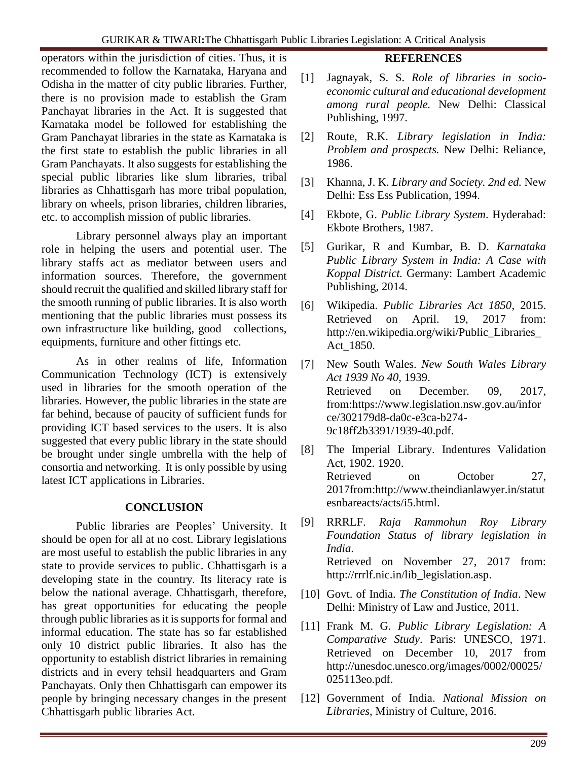operators within the jurisdiction of cities. Thus, it is recommended to follow the Karnataka, Haryana and Odisha in the matter of city public libraries. Further, there is no provision made to establish the Gram Panchayat libraries in the Act. It is suggested that Karnataka model be followed for establishing the Gram Panchayat libraries in the state as Karnataka is the first state to establish the public libraries in all Gram Panchayats. It also suggests for establishing the special public libraries like slum libraries, tribal libraries as Chhattisgarh has more tribal population, library on wheels, prison libraries, children libraries, etc. to accomplish mission of public libraries.

Library personnel always play an important role in helping the users and potential user. The library staffs act as mediator between users and information sources. Therefore, the government should recruit the qualified and skilled library staff for the smooth running of public libraries. It is also worth mentioning that the public libraries must possess its own infrastructure like building, good collections, equipments, furniture and other fittings etc.

As in other realms of life, Information Communication Technology (ICT) is extensively used in libraries for the smooth operation of the libraries. However, the public libraries in the state are far behind, because of paucity of sufficient funds for providing ICT based services to the users. It is also suggested that every public library in the state should be brought under single umbrella with the help of consortia and networking. It is only possible by using latest ICT applications in Libraries.

#### **CONCLUSION**

Public libraries are Peoples' University. It should be open for all at no cost. Library legislations are most useful to establish the public libraries in any state to provide services to public. Chhattisgarh is a developing state in the country. Its literacy rate is below the national average. Chhattisgarh, therefore, has great opportunities for educating the people through public libraries as it is supports for formal and informal education. The state has so far established only 10 district public libraries. It also has the opportunity to establish district libraries in remaining districts and in every tehsil headquarters and Gram Panchayats. Only then Chhattisgarh can empower its people by bringing necessary changes in the present Chhattisgarh public libraries Act.

### **REFERENCES**

- [1] Jagnayak, S. S. *Role of libraries in socioeconomic cultural and educational development among rural people.* New Delhi: Classical Publishing, 1997.
- [2] Route, R.K. *Library legislation in India: Problem and prospects.* New Delhi: Reliance, 1986.
- [3] Khanna, J. K. *Library and Society. 2nd ed.* New Delhi: Ess Ess Publication, 1994*.*
- [4] Ekbote, G. *Public Library System*. Hyderabad: Ekbote Brothers, 1987.
- [5] Gurikar, R and Kumbar, B. D. *Karnataka Public Library System in India: A Case with Koppal District.* Germany: Lambert Academic Publishing, 2014.
- [6] Wikipedia. *Public Libraries Act 1850*, 2015. Retrieved on April. 19, 2017 from: http://en.wikipedia.org/wiki/Public\_Libraries\_ Act\_1850.
- [7] New South Wales. *New South Wales Library Act 1939 No 40*, 1939. Retrieved on December. 09, 2017, from[:https://www.legislation.nsw.](https://www.legislation.nsw/)gov.au/infor ce/302179d8-da0c-e3ca-b274- 9c18ff2b3391/1939-40.pdf.
- [8] The Imperial Library. Indentures Validation Act, 1902. 1920. Retrieved on October 27, 2017from[:http://www.theindianlawyer.in/statut](http://www.theindianlawyer.in/statutesnbareacts/acts/i5.html) [esnbareacts/acts/i5.html.](http://www.theindianlawyer.in/statutesnbareacts/acts/i5.html)
- [9] RRRLF. *Raja Rammohun Roy Library Foundation Status of library legislation in India*. Retrieved on November 27, 2017 from: http://rrrlf.nic.in/lib\_legislation.asp.
- [10] Govt. of India. *The Constitution of India*. New Delhi: Ministry of Law and Justice, 2011.
- [11] Frank M. G. *Public Library Legislation: A Comparative Study*. Paris: UNESCO, 1971. Retrieved on December 10, 2017 from http://unesdoc.unesco.org/images/0002/00025/ 025113eo.pdf.
- [12] Government of India. *National Mission on Libraries*, Ministry of Culture, 2016.